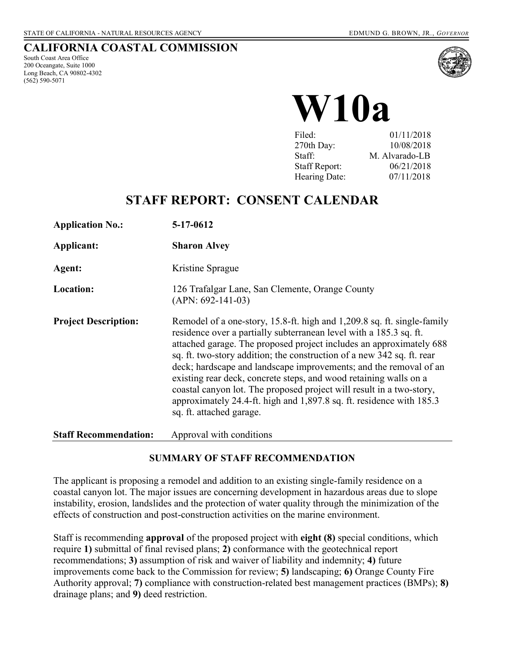#### **CALIFORNIA COASTAL COMMISSION**

South Coast Area Office 200 Oceangate, Suite 1000 Long Beach, CA 90802-4302 (562) 590-5071



# **W10a**

| Filed:               | 01/11/2018     |
|----------------------|----------------|
| 270th Day:           | 10/08/2018     |
| Staff:               | M. Alvarado-LB |
| <b>Staff Report:</b> | 06/21/2018     |
| Hearing Date:        | 07/11/2018     |

## **STAFF REPORT: CONSENT CALENDAR**

| <b>Application No.:</b>      | 5-17-0612                                                                                                                                                                                                                                                                                                                                                                                                                                                                                                                                                                                                            |
|------------------------------|----------------------------------------------------------------------------------------------------------------------------------------------------------------------------------------------------------------------------------------------------------------------------------------------------------------------------------------------------------------------------------------------------------------------------------------------------------------------------------------------------------------------------------------------------------------------------------------------------------------------|
| Applicant:                   | <b>Sharon Alvey</b>                                                                                                                                                                                                                                                                                                                                                                                                                                                                                                                                                                                                  |
| Agent:                       | Kristine Sprague                                                                                                                                                                                                                                                                                                                                                                                                                                                                                                                                                                                                     |
| Location:                    | 126 Trafalgar Lane, San Clemente, Orange County<br>$(APN: 692-141-03)$                                                                                                                                                                                                                                                                                                                                                                                                                                                                                                                                               |
| <b>Project Description:</b>  | Remodel of a one-story, 15.8-ft. high and 1,209.8 sq. ft. single-family<br>residence over a partially subterranean level with a 185.3 sq. ft.<br>attached garage. The proposed project includes an approximately 688<br>sq. ft. two-story addition; the construction of a new 342 sq. ft. rear<br>deck; hardscape and landscape improvements; and the removal of an<br>existing rear deck, concrete steps, and wood retaining walls on a<br>coastal canyon lot. The proposed project will result in a two-story,<br>approximately 24.4-ft. high and 1,897.8 sq. ft. residence with 185.3<br>sq. ft. attached garage. |
| <b>Staff Recommendation:</b> | Approval with conditions                                                                                                                                                                                                                                                                                                                                                                                                                                                                                                                                                                                             |

#### **SUMMARY OF STAFF RECOMMENDATION**

The applicant is proposing a remodel and addition to an existing single-family residence on a coastal canyon lot. The major issues are concerning development in hazardous areas due to slope instability, erosion, landslides and the protection of water quality through the minimization of the effects of construction and post-construction activities on the marine environment.

Staff is recommending **approval** of the proposed project with **eight (8)** special conditions, which require **1)** submittal of final revised plans; **2)** conformance with the geotechnical report recommendations; **3)** assumption of risk and waiver of liability and indemnity; **4)** future improvements come back to the Commission for review; **5)** landscaping; **6)** Orange County Fire Authority approval; **7)** compliance with construction-related best management practices (BMPs); **8)** drainage plans; and **9)** deed restriction.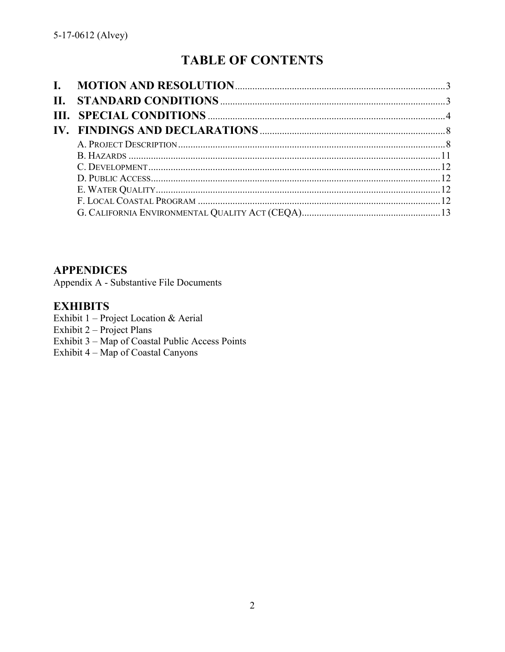# **TABLE OF CONTENTS**

**APPENDICES** 

Appendix A - Substantive File Documents

## **EXHIBITS**

Exhibit 1 - Project Location & Aerial Exhibit  $2 - Project Plans$ Exhibit 3 – Map of Coastal Public Access Points Exhibit 4 – Map of Coastal Canyons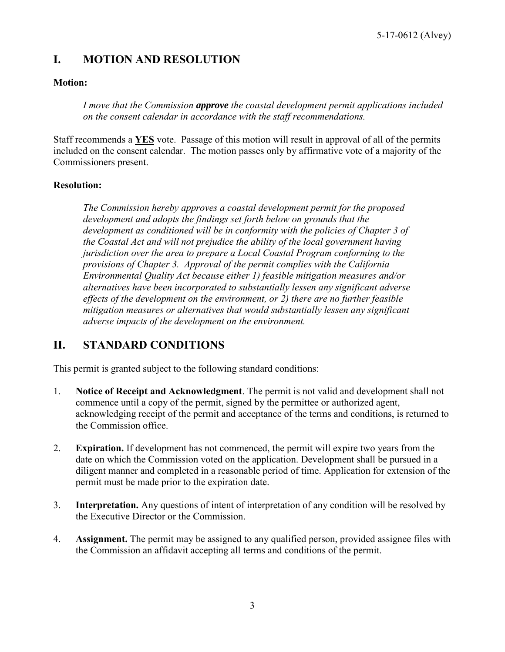## <span id="page-2-0"></span>**I. MOTION AND RESOLUTION**

#### **Motion:**

*I move that the Commission approve the coastal development permit applications included on the consent calendar in accordance with the staff recommendations.*

Staff recommends a **YES** vote. Passage of this motion will result in approval of all of the permits included on the consent calendar. The motion passes only by affirmative vote of a majority of the Commissioners present.

#### **Resolution:**

*The Commission hereby approves a coastal development permit for the proposed development and adopts the findings set forth below on grounds that the development as conditioned will be in conformity with the policies of Chapter 3 of the Coastal Act and will not prejudice the ability of the local government having jurisdiction over the area to prepare a Local Coastal Program conforming to the provisions of Chapter 3. Approval of the permit complies with the California Environmental Quality Act because either 1) feasible mitigation measures and/or alternatives have been incorporated to substantially lessen any significant adverse effects of the development on the environment, or 2) there are no further feasible mitigation measures or alternatives that would substantially lessen any significant adverse impacts of the development on the environment.* 

## <span id="page-2-1"></span>**II. STANDARD CONDITIONS**

This permit is granted subject to the following standard conditions:

- 1. **Notice of Receipt and Acknowledgment**. The permit is not valid and development shall not commence until a copy of the permit, signed by the permittee or authorized agent, acknowledging receipt of the permit and acceptance of the terms and conditions, is returned to the Commission office.
- 2. **Expiration.** If development has not commenced, the permit will expire two years from the date on which the Commission voted on the application. Development shall be pursued in a diligent manner and completed in a reasonable period of time. Application for extension of the permit must be made prior to the expiration date.
- 3. **Interpretation.** Any questions of intent of interpretation of any condition will be resolved by the Executive Director or the Commission.
- 4. **Assignment.** The permit may be assigned to any qualified person, provided assignee files with the Commission an affidavit accepting all terms and conditions of the permit.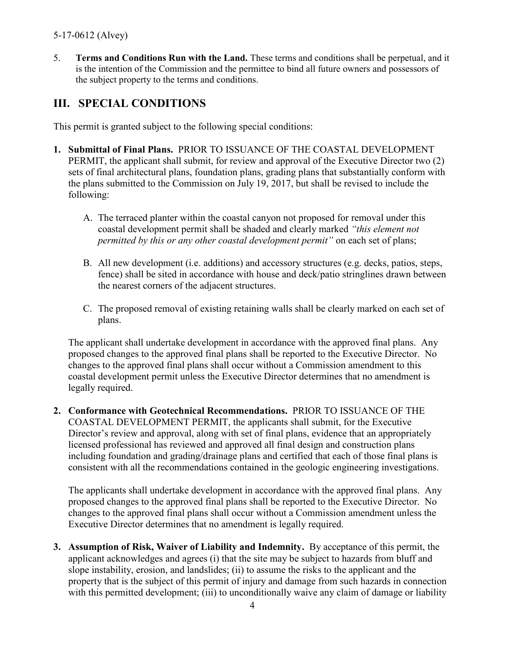#### 5-17-0612 (Alvey)

5. **Terms and Conditions Run with the Land.** These terms and conditions shall be perpetual, and it is the intention of the Commission and the permittee to bind all future owners and possessors of the subject property to the terms and conditions.

## <span id="page-3-0"></span>**III. SPECIAL CONDITIONS**

This permit is granted subject to the following special conditions:

- **1. Submittal of Final Plans.** PRIOR TO ISSUANCE OF THE COASTAL DEVELOPMENT PERMIT, the applicant shall submit, for review and approval of the Executive Director two (2) sets of final architectural plans, foundation plans, grading plans that substantially conform with the plans submitted to the Commission on July 19, 2017, but shall be revised to include the following:
	- A. The terraced planter within the coastal canyon not proposed for removal under this coastal development permit shall be shaded and clearly marked *"this element not permitted by this or any other coastal development permit"* on each set of plans;
	- B. All new development (i.e. additions) and accessory structures (e.g. decks, patios, steps, fence) shall be sited in accordance with house and deck/patio stringlines drawn between the nearest corners of the adjacent structures.
	- C. The proposed removal of existing retaining walls shall be clearly marked on each set of plans.

The applicant shall undertake development in accordance with the approved final plans. Any proposed changes to the approved final plans shall be reported to the Executive Director. No changes to the approved final plans shall occur without a Commission amendment to this coastal development permit unless the Executive Director determines that no amendment is legally required.

**2. Conformance with Geotechnical Recommendations.** PRIOR TO ISSUANCE OF THE COASTAL DEVELOPMENT PERMIT, the applicants shall submit, for the Executive Director's review and approval, along with set of final plans, evidence that an appropriately licensed professional has reviewed and approved all final design and construction plans including foundation and grading/drainage plans and certified that each of those final plans is consistent with all the recommendations contained in the geologic engineering investigations.

The applicants shall undertake development in accordance with the approved final plans. Any proposed changes to the approved final plans shall be reported to the Executive Director. No changes to the approved final plans shall occur without a Commission amendment unless the Executive Director determines that no amendment is legally required.

**3. Assumption of Risk, Waiver of Liability and Indemnity.** By acceptance of this permit, the applicant acknowledges and agrees (i) that the site may be subject to hazards from bluff and slope instability, erosion, and landslides; (ii) to assume the risks to the applicant and the property that is the subject of this permit of injury and damage from such hazards in connection with this permitted development; (iii) to unconditionally waive any claim of damage or liability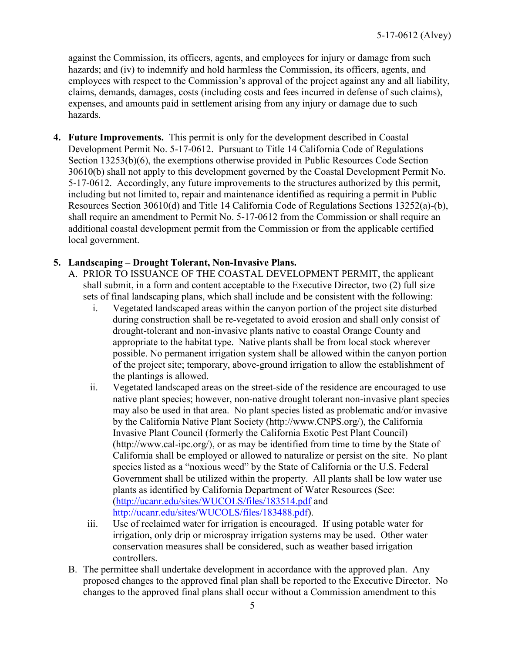against the Commission, its officers, agents, and employees for injury or damage from such hazards; and (iv) to indemnify and hold harmless the Commission, its officers, agents, and employees with respect to the Commission's approval of the project against any and all liability, claims, demands, damages, costs (including costs and fees incurred in defense of such claims), expenses, and amounts paid in settlement arising from any injury or damage due to such hazards.

**4. Future Improvements.** This permit is only for the development described in Coastal Development Permit No. 5-17-0612. Pursuant to Title 14 California Code of Regulations Section 13253(b)(6), the exemptions otherwise provided in Public Resources Code Section 30610(b) shall not apply to this development governed by the Coastal Development Permit No. 5-17-0612. Accordingly, any future improvements to the structures authorized by this permit, including but not limited to, repair and maintenance identified as requiring a permit in Public Resources Section 30610(d) and Title 14 California Code of Regulations Sections 13252(a)-(b), shall require an amendment to Permit No. 5-17-0612 from the Commission or shall require an additional coastal development permit from the Commission or from the applicable certified local government.

#### **5. Landscaping – Drought Tolerant, Non-Invasive Plans.**

- A. PRIOR TO ISSUANCE OF THE COASTAL DEVELOPMENT PERMIT, the applicant shall submit, in a form and content acceptable to the Executive Director, two (2) full size sets of final landscaping plans, which shall include and be consistent with the following:
	- i. Vegetated landscaped areas within the canyon portion of the project site disturbed during construction shall be re-vegetated to avoid erosion and shall only consist of drought-tolerant and non-invasive plants native to coastal Orange County and appropriate to the habitat type. Native plants shall be from local stock wherever possible. No permanent irrigation system shall be allowed within the canyon portion of the project site; temporary, above-ground irrigation to allow the establishment of the plantings is allowed.
	- ii. Vegetated landscaped areas on the street-side of the residence are encouraged to use native plant species; however, non-native drought tolerant non-invasive plant species may also be used in that area. No plant species listed as problematic and/or invasive by the California Native Plant Society (http://www.CNPS.org/), the California Invasive Plant Council (formerly the California Exotic Pest Plant Council) (http://www.cal-ipc.org/), or as may be identified from time to time by the State of California shall be employed or allowed to naturalize or persist on the site. No plant species listed as a "noxious weed" by the State of California or the U.S. Federal Government shall be utilized within the property. All plants shall be low water use plants as identified by California Department of Water Resources (See: [\(http://ucanr.edu/sites/WUCOLS/files/183514.pdf](http://ucanr.edu/sites/WUCOLS/files/183514.pdf) and [http://ucanr.edu/sites/WUCOLS/files/183488.pdf\)](http://ucanr.edu/sites/WUCOLS/files/183488.pdf).
	- iii. Use of reclaimed water for irrigation is encouraged. If using potable water for irrigation, only drip or microspray irrigation systems may be used. Other water conservation measures shall be considered, such as weather based irrigation controllers.
- B. The permittee shall undertake development in accordance with the approved plan. Any proposed changes to the approved final plan shall be reported to the Executive Director. No changes to the approved final plans shall occur without a Commission amendment to this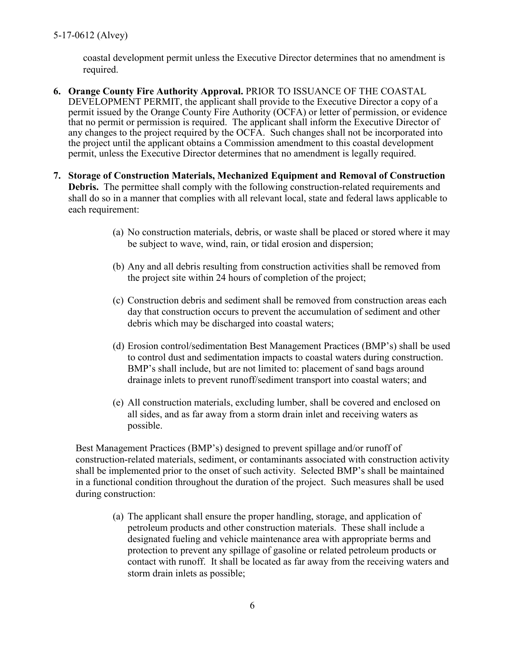coastal development permit unless the Executive Director determines that no amendment is required.

- **6. Orange County Fire Authority Approval.** PRIOR TO ISSUANCE OF THE COASTAL DEVELOPMENT PERMIT, the applicant shall provide to the Executive Director a copy of a permit issued by the Orange County Fire Authority (OCFA) or letter of permission, or evidence that no permit or permission is required. The applicant shall inform the Executive Director of any changes to the project required by the OCFA. Such changes shall not be incorporated into the project until the applicant obtains a Commission amendment to this coastal development permit, unless the Executive Director determines that no amendment is legally required.
- **7. Storage of Construction Materials, Mechanized Equipment and Removal of Construction Debris.** The permittee shall comply with the following construction-related requirements and shall do so in a manner that complies with all relevant local, state and federal laws applicable to each requirement:
	- (a) No construction materials, debris, or waste shall be placed or stored where it may be subject to wave, wind, rain, or tidal erosion and dispersion;
	- (b) Any and all debris resulting from construction activities shall be removed from the project site within 24 hours of completion of the project;
	- (c) Construction debris and sediment shall be removed from construction areas each day that construction occurs to prevent the accumulation of sediment and other debris which may be discharged into coastal waters;
	- (d) Erosion control/sedimentation Best Management Practices (BMP's) shall be used to control dust and sedimentation impacts to coastal waters during construction. BMP's shall include, but are not limited to: placement of sand bags around drainage inlets to prevent runoff/sediment transport into coastal waters; and
	- (e) All construction materials, excluding lumber, shall be covered and enclosed on all sides, and as far away from a storm drain inlet and receiving waters as possible.

Best Management Practices (BMP's) designed to prevent spillage and/or runoff of construction-related materials, sediment, or contaminants associated with construction activity shall be implemented prior to the onset of such activity. Selected BMP's shall be maintained in a functional condition throughout the duration of the project. Such measures shall be used during construction:

(a) The applicant shall ensure the proper handling, storage, and application of petroleum products and other construction materials. These shall include a designated fueling and vehicle maintenance area with appropriate berms and protection to prevent any spillage of gasoline or related petroleum products or contact with runoff. It shall be located as far away from the receiving waters and storm drain inlets as possible;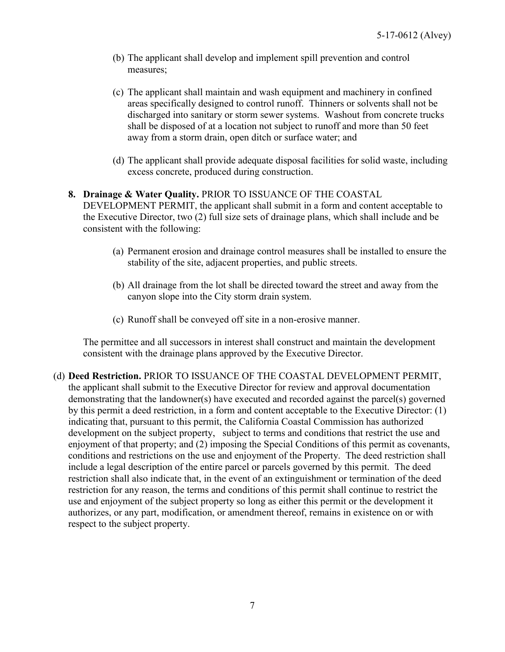- (b) The applicant shall develop and implement spill prevention and control measures;
- (c) The applicant shall maintain and wash equipment and machinery in confined areas specifically designed to control runoff. Thinners or solvents shall not be discharged into sanitary or storm sewer systems. Washout from concrete trucks shall be disposed of at a location not subject to runoff and more than 50 feet away from a storm drain, open ditch or surface water; and
- (d) The applicant shall provide adequate disposal facilities for solid waste, including excess concrete, produced during construction.

#### **8. Drainage & Water Quality.** PRIOR TO ISSUANCE OF THE COASTAL DEVELOPMENT PERMIT, the applicant shall submit in a form and content acceptable to the Executive Director, two (2) full size sets of drainage plans, which shall include and be consistent with the following:

- (a) Permanent erosion and drainage control measures shall be installed to ensure the stability of the site, adjacent properties, and public streets.
- (b) All drainage from the lot shall be directed toward the street and away from the canyon slope into the City storm drain system.
- (c) Runoff shall be conveyed off site in a non-erosive manner.

The permittee and all successors in interest shall construct and maintain the development consistent with the drainage plans approved by the Executive Director.

(d) **Deed Restriction.** PRIOR TO ISSUANCE OF THE COASTAL DEVELOPMENT PERMIT, the applicant shall submit to the Executive Director for review and approval documentation demonstrating that the landowner(s) have executed and recorded against the parcel(s) governed by this permit a deed restriction, in a form and content acceptable to the Executive Director: (1) indicating that, pursuant to this permit, the California Coastal Commission has authorized development on the subject property, subject to terms and conditions that restrict the use and enjoyment of that property; and (2) imposing the Special Conditions of this permit as covenants, conditions and restrictions on the use and enjoyment of the Property. The deed restriction shall include a legal description of the entire parcel or parcels governed by this permit. The deed restriction shall also indicate that, in the event of an extinguishment or termination of the deed restriction for any reason, the terms and conditions of this permit shall continue to restrict the use and enjoyment of the subject property so long as either this permit or the development it authorizes, or any part, modification, or amendment thereof, remains in existence on or with respect to the subject property.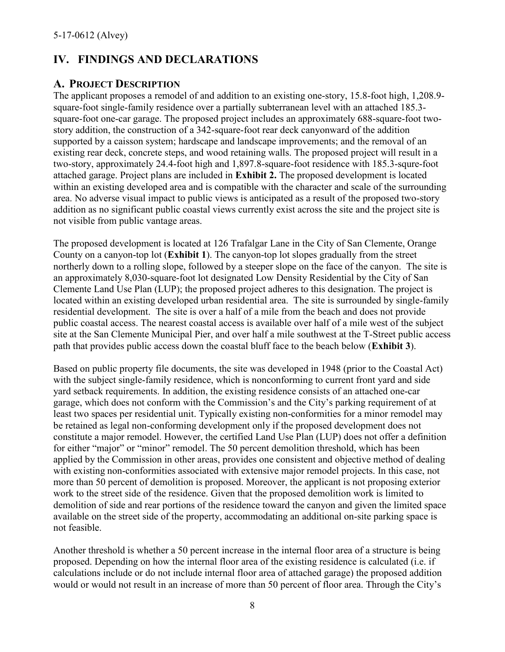## <span id="page-7-0"></span>**IV. FINDINGS AND DECLARATIONS**

#### <span id="page-7-1"></span>**A. PROJECT DESCRIPTION**

The applicant proposes a remodel of and addition to an existing one-story, 15.8-foot high, 1,208.9 square-foot single-family residence over a partially subterranean level with an attached 185.3 square-foot one-car garage. The proposed project includes an approximately 688-square-foot twostory addition, the construction of a 342-square-foot rear deck canyonward of the addition supported by a caisson system; hardscape and landscape improvements; and the removal of an existing rear deck, concrete steps, and wood retaining walls. The proposed project will result in a two-story, approximately 24.4-foot high and 1,897.8-square-foot residence with 185.3-squre-foot attached garage. Project plans are included in **[Exhibit 2.](https://documents.coastal.ca.gov/reports/2018/7/w10a/w10a-7-2018-exhibits.pdf)** The proposed development is located within an existing developed area and is compatible with the character and scale of the surrounding area. No adverse visual impact to public views is anticipated as a result of the proposed two-story addition as no significant public coastal views currently exist across the site and the project site is not visible from public vantage areas.

The proposed development is located at 126 Trafalgar Lane in the City of San Clemente, Orange County on a canyon-top lot (**[Exhibit 1](https://documents.coastal.ca.gov/reports/2018/7/w10a/w10a-7-2018-exhibits.pdf)**). The canyon-top lot slopes gradually from the street northerly down to a rolling slope, followed by a steeper slope on the face of the canyon. The site is an approximately 8,030-square-foot lot designated Low Density Residential by the City of San Clemente Land Use Plan (LUP); the proposed project adheres to this designation. The project is located within an existing developed urban residential area. The site is surrounded by single-family residential development. The site is over a half of a mile from the beach and does not provide public coastal access. The nearest coastal access is available over half of a mile west of the subject site at the San Clemente Municipal Pier, and over half a mile southwest at the T-Street public access path that provides public access down the coastal bluff face to the beach below (**[Exhibit 3](https://documents.coastal.ca.gov/reports/2018/7/w10a/w10a-7-2018-exhibits.pdf)**).

Based on public property file documents, the site was developed in 1948 (prior to the Coastal Act) with the subject single-family residence, which is nonconforming to current front yard and side yard setback requirements. In addition, the existing residence consists of an attached one-car garage, which does not conform with the Commission's and the City's parking requirement of at least two spaces per residential unit. Typically existing non-conformities for a minor remodel may be retained as legal non-conforming development only if the proposed development does not constitute a major remodel. However, the certified Land Use Plan (LUP) does not offer a definition for either "major" or "minor" remodel. The 50 percent demolition threshold, which has been applied by the Commission in other areas, provides one consistent and objective method of dealing with existing non-conformities associated with extensive major remodel projects. In this case, not more than 50 percent of demolition is proposed. Moreover, the applicant is not proposing exterior work to the street side of the residence. Given that the proposed demolition work is limited to demolition of side and rear portions of the residence toward the canyon and given the limited space available on the street side of the property, accommodating an additional on-site parking space is not feasible.

Another threshold is whether a 50 percent increase in the internal floor area of a structure is being proposed. Depending on how the internal floor area of the existing residence is calculated (i.e. if calculations include or do not include internal floor area of attached garage) the proposed addition would or would not result in an increase of more than 50 percent of floor area. Through the City's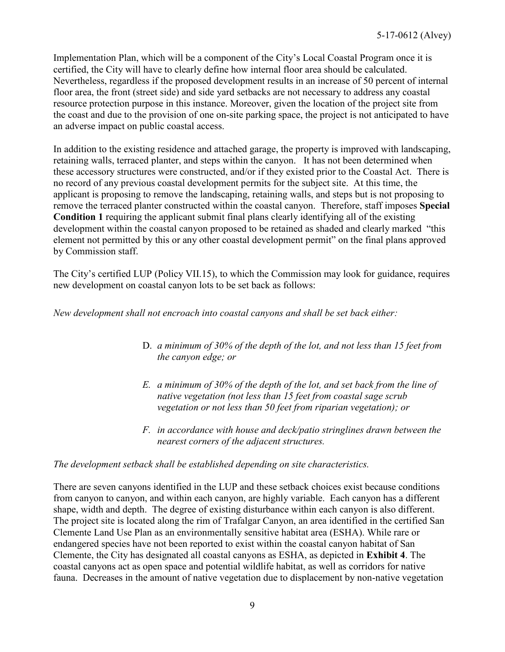Implementation Plan, which will be a component of the City's Local Coastal Program once it is certified, the City will have to clearly define how internal floor area should be calculated. Nevertheless, regardless if the proposed development results in an increase of 50 percent of internal floor area, the front (street side) and side yard setbacks are not necessary to address any coastal resource protection purpose in this instance. Moreover, given the location of the project site from the coast and due to the provision of one on-site parking space, the project is not anticipated to have an adverse impact on public coastal access.

In addition to the existing residence and attached garage, the property is improved with landscaping, retaining walls, terraced planter, and steps within the canyon. It has not been determined when these accessory structures were constructed, and/or if they existed prior to the Coastal Act. There is no record of any previous coastal development permits for the subject site. At this time, the applicant is proposing to remove the landscaping, retaining walls, and steps but is not proposing to remove the terraced planter constructed within the coastal canyon. Therefore, staff imposes **Special Condition 1** requiring the applicant submit final plans clearly identifying all of the existing development within the coastal canyon proposed to be retained as shaded and clearly marked "this element not permitted by this or any other coastal development permit" on the final plans approved by Commission staff.

The City's certified LUP (Policy VII.15), to which the Commission may look for guidance, requires new development on coastal canyon lots to be set back as follows:

*New development shall not encroach into coastal canyons and shall be set back either:* 

- D. *a minimum of 30% of the depth of the lot, and not less than 15 feet from the canyon edge; or*
- *E. a minimum of 30% of the depth of the lot, and set back from the line of native vegetation (not less than 15 feet from coastal sage scrub vegetation or not less than 50 feet from riparian vegetation); or*
- *F. in accordance with house and deck/patio stringlines drawn between the nearest corners of the adjacent structures.*

#### *The development setback shall be established depending on site characteristics.*

There are seven canyons identified in the LUP and these setback choices exist because conditions from canyon to canyon, and within each canyon, are highly variable. Each canyon has a different shape, width and depth. The degree of existing disturbance within each canyon is also different. The project site is located along the rim of Trafalgar Canyon, an area identified in the certified San Clemente Land Use Plan as an environmentally sensitive habitat area (ESHA). While rare or endangered species have not been reported to exist within the coastal canyon habitat of San Clemente, the City has designated all coastal canyons as ESHA, as depicted in **[Exhibit 4](https://documents.coastal.ca.gov/reports/2018/7/w10a/w10a-7-2018-exhibits.pdf)**. The coastal canyons act as open space and potential wildlife habitat, as well as corridors for native fauna. Decreases in the amount of native vegetation due to displacement by non-native vegetation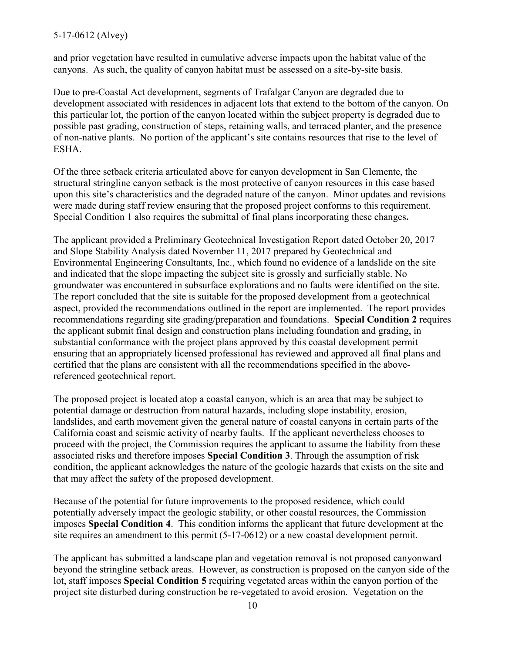#### 5-17-0612 (Alvey)

and prior vegetation have resulted in cumulative adverse impacts upon the habitat value of the canyons. As such, the quality of canyon habitat must be assessed on a site-by-site basis.

Due to pre-Coastal Act development, segments of Trafalgar Canyon are degraded due to development associated with residences in adjacent lots that extend to the bottom of the canyon. On this particular lot, the portion of the canyon located within the subject property is degraded due to possible past grading, construction of steps, retaining walls, and terraced planter, and the presence of non-native plants. No portion of the applicant's site contains resources that rise to the level of ESHA.

Of the three setback criteria articulated above for canyon development in San Clemente, the structural stringline canyon setback is the most protective of canyon resources in this case based upon this site's characteristics and the degraded nature of the canyon. Minor updates and revisions were made during staff review ensuring that the proposed project conforms to this requirement. Special Condition 1 also requires the submittal of final plans incorporating these changes**.** 

The applicant provided a Preliminary Geotechnical Investigation Report dated October 20, 2017 and Slope Stability Analysis dated November 11, 2017 prepared by Geotechnical and Environmental Engineering Consultants, Inc., which found no evidence of a landslide on the site and indicated that the slope impacting the subject site is grossly and surficially stable. No groundwater was encountered in subsurface explorations and no faults were identified on the site. The report concluded that the site is suitable for the proposed development from a geotechnical aspect, provided the recommendations outlined in the report are implemented. The report provides recommendations regarding site grading/preparation and foundations. **Special Condition 2** requires the applicant submit final design and construction plans including foundation and grading, in substantial conformance with the project plans approved by this coastal development permit ensuring that an appropriately licensed professional has reviewed and approved all final plans and certified that the plans are consistent with all the recommendations specified in the abovereferenced geotechnical report.

The proposed project is located atop a coastal canyon, which is an area that may be subject to potential damage or destruction from natural hazards, including slope instability, erosion, landslides, and earth movement given the general nature of coastal canyons in certain parts of the California coast and seismic activity of nearby faults. If the applicant nevertheless chooses to proceed with the project, the Commission requires the applicant to assume the liability from these associated risks and therefore imposes **Special Condition 3**. Through the assumption of risk condition, the applicant acknowledges the nature of the geologic hazards that exists on the site and that may affect the safety of the proposed development.

Because of the potential for future improvements to the proposed residence, which could potentially adversely impact the geologic stability, or other coastal resources, the Commission imposes **Special Condition 4**. This condition informs the applicant that future development at the site requires an amendment to this permit (5-17-0612) or a new coastal development permit.

The applicant has submitted a landscape plan and vegetation removal is not proposed canyonward beyond the stringline setback areas. However, as construction is proposed on the canyon side of the lot, staff imposes **Special Condition 5** requiring vegetated areas within the canyon portion of the project site disturbed during construction be re-vegetated to avoid erosion. Vegetation on the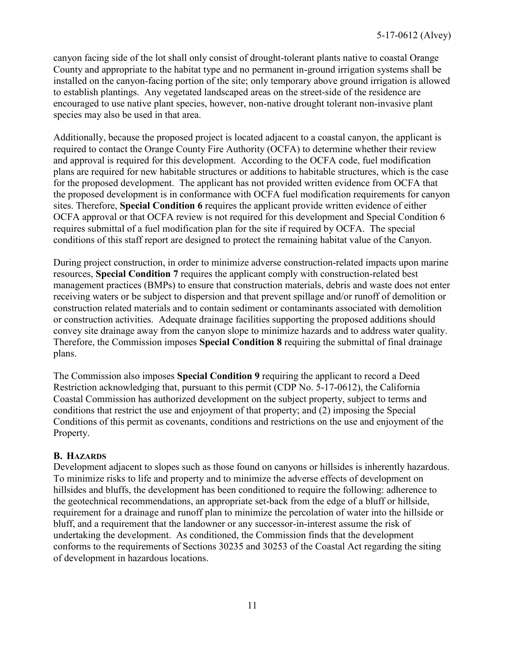canyon facing side of the lot shall only consist of drought-tolerant plants native to coastal Orange County and appropriate to the habitat type and no permanent in-ground irrigation systems shall be installed on the canyon-facing portion of the site; only temporary above ground irrigation is allowed to establish plantings. Any vegetated landscaped areas on the street-side of the residence are encouraged to use native plant species, however, non-native drought tolerant non-invasive plant species may also be used in that area.

Additionally, because the proposed project is located adjacent to a coastal canyon, the applicant is required to contact the Orange County Fire Authority (OCFA) to determine whether their review and approval is required for this development. According to the OCFA code, fuel modification plans are required for new habitable structures or additions to habitable structures, which is the case for the proposed development. The applicant has not provided written evidence from OCFA that the proposed development is in conformance with OCFA fuel modification requirements for canyon sites. Therefore, **Special Condition 6** requires the applicant provide written evidence of either OCFA approval or that OCFA review is not required for this development and Special Condition 6 requires submittal of a fuel modification plan for the site if required by OCFA. The special conditions of this staff report are designed to protect the remaining habitat value of the Canyon.

During project construction, in order to minimize adverse construction-related impacts upon marine resources, **Special Condition 7** requires the applicant comply with construction-related best management practices (BMPs) to ensure that construction materials, debris and waste does not enter receiving waters or be subject to dispersion and that prevent spillage and/or runoff of demolition or construction related materials and to contain sediment or contaminants associated with demolition or construction activities. Adequate drainage facilities supporting the proposed additions should convey site drainage away from the canyon slope to minimize hazards and to address water quality. Therefore, the Commission imposes **Special Condition 8** requiring the submittal of final drainage plans.

The Commission also imposes **Special Condition 9** requiring the applicant to record a Deed Restriction acknowledging that, pursuant to this permit (CDP No. 5-17-0612), the California Coastal Commission has authorized development on the subject property, subject to terms and conditions that restrict the use and enjoyment of that property; and (2) imposing the Special Conditions of this permit as covenants, conditions and restrictions on the use and enjoyment of the Property.

#### <span id="page-10-0"></span>**B. HAZARDS**

Development adjacent to slopes such as those found on canyons or hillsides is inherently hazardous. To minimize risks to life and property and to minimize the adverse effects of development on hillsides and bluffs, the development has been conditioned to require the following: adherence to the geotechnical recommendations, an appropriate set-back from the edge of a bluff or hillside, requirement for a drainage and runoff plan to minimize the percolation of water into the hillside or bluff, and a requirement that the landowner or any successor-in-interest assume the risk of undertaking the development. As conditioned, the Commission finds that the development conforms to the requirements of Sections 30235 and 30253 of the Coastal Act regarding the siting of development in hazardous locations.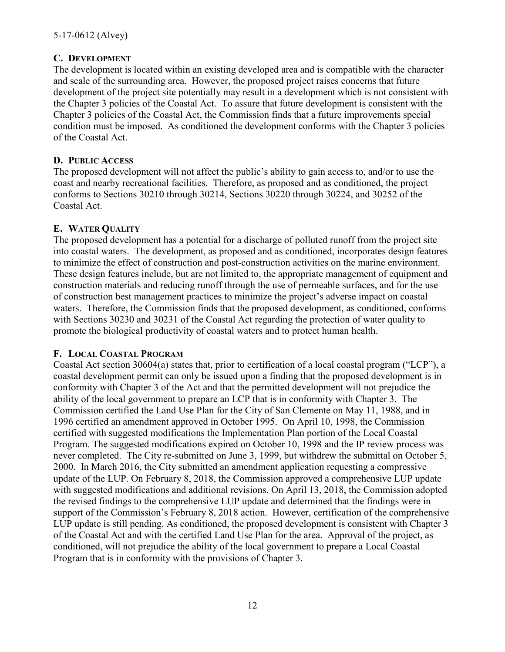#### <span id="page-11-0"></span>**C. DEVELOPMENT**

The development is located within an existing developed area and is compatible with the character and scale of the surrounding area. However, the proposed project raises concerns that future development of the project site potentially may result in a development which is not consistent with the Chapter 3 policies of the Coastal Act. To assure that future development is consistent with the Chapter 3 policies of the Coastal Act, the Commission finds that a future improvements special condition must be imposed. As conditioned the development conforms with the Chapter 3 policies of the Coastal Act.

#### <span id="page-11-1"></span>**D. PUBLIC ACCESS**

The proposed development will not affect the public's ability to gain access to, and/or to use the coast and nearby recreational facilities. Therefore, as proposed and as conditioned, the project conforms to Sections 30210 through 30214, Sections 30220 through 30224, and 30252 of the Coastal Act.

#### <span id="page-11-2"></span>**E. WATER QUALITY**

The proposed development has a potential for a discharge of polluted runoff from the project site into coastal waters. The development, as proposed and as conditioned, incorporates design features to minimize the effect of construction and post-construction activities on the marine environment. These design features include, but are not limited to, the appropriate management of equipment and construction materials and reducing runoff through the use of permeable surfaces, and for the use of construction best management practices to minimize the project's adverse impact on coastal waters. Therefore, the Commission finds that the proposed development, as conditioned, conforms with Sections 30230 and 30231 of the Coastal Act regarding the protection of water quality to promote the biological productivity of coastal waters and to protect human health.

#### <span id="page-11-3"></span>**F. LOCAL COASTAL PROGRAM**

Coastal Act section 30604(a) states that, prior to certification of a local coastal program ("LCP"), a coastal development permit can only be issued upon a finding that the proposed development is in conformity with Chapter 3 of the Act and that the permitted development will not prejudice the ability of the local government to prepare an LCP that is in conformity with Chapter 3. The Commission certified the Land Use Plan for the City of San Clemente on May 11, 1988, and in 1996 certified an amendment approved in October 1995. On April 10, 1998, the Commission certified with suggested modifications the Implementation Plan portion of the Local Coastal Program. The suggested modifications expired on October 10, 1998 and the IP review process was never completed. The City re-submitted on June 3, 1999, but withdrew the submittal on October 5, 2000. In March 2016, the City submitted an amendment application requesting a compressive update of the LUP. On February 8, 2018, the Commission approved a comprehensive LUP update with suggested modifications and additional revisions. On April 13, 2018, the Commission adopted the revised findings to the comprehensive LUP update and determined that the findings were in support of the Commission's February 8, 2018 action. However, certification of the comprehensive LUP update is still pending. As conditioned, the proposed development is consistent with Chapter 3 of the Coastal Act and with the certified Land Use Plan for the area. Approval of the project, as conditioned, will not prejudice the ability of the local government to prepare a Local Coastal Program that is in conformity with the provisions of Chapter 3.